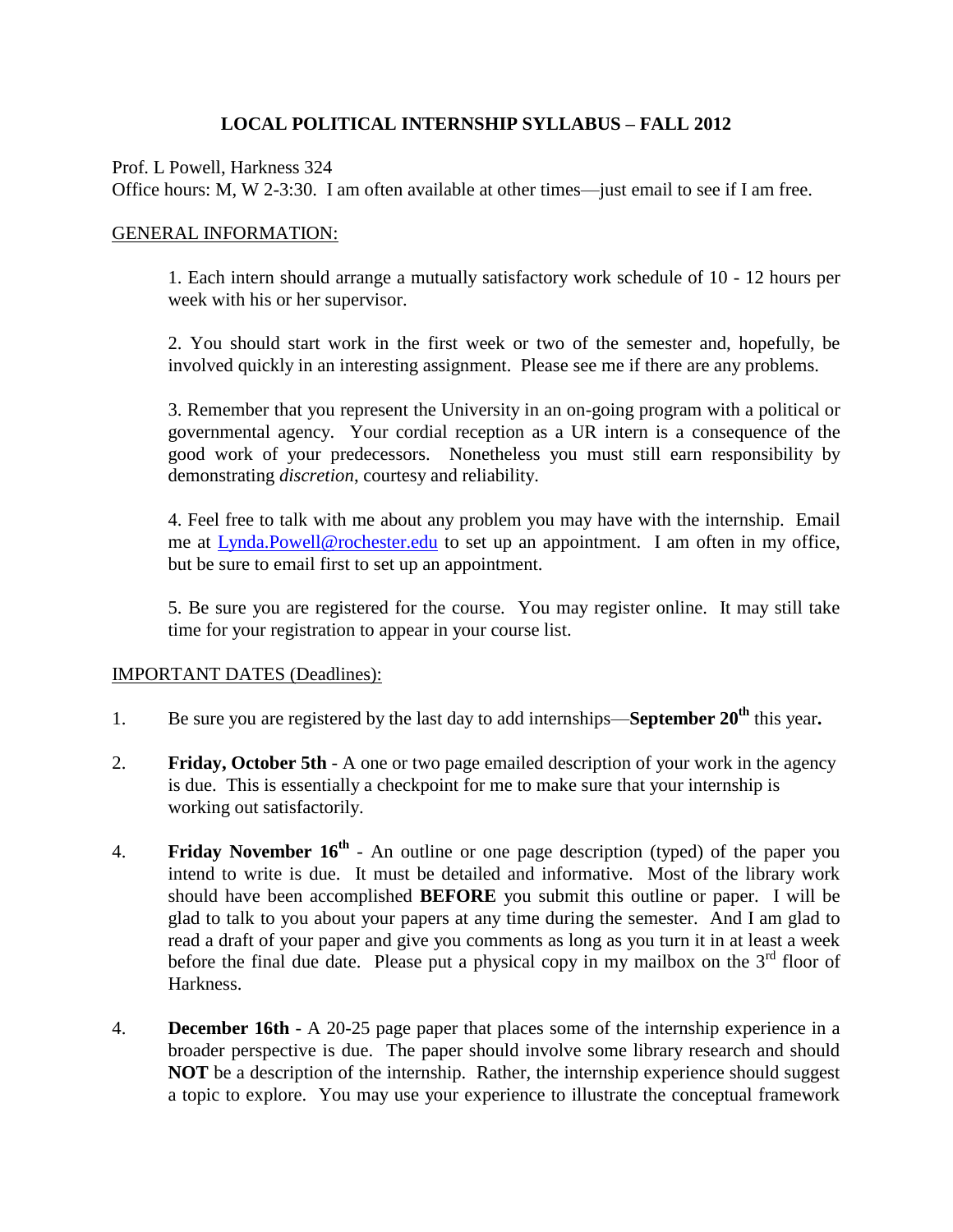## **LOCAL POLITICAL INTERNSHIP SYLLABUS – FALL 2012**

Prof. L Powell, Harkness 324

Office hours: M, W 2-3:30. I am often available at other times—just email to see if I am free.

## GENERAL INFORMATION:

1. Each intern should arrange a mutually satisfactory work schedule of 10 - 12 hours per week with his or her supervisor.

2. You should start work in the first week or two of the semester and, hopefully, be involved quickly in an interesting assignment. Please see me if there are any problems.

3. Remember that you represent the University in an on-going program with a political or governmental agency. Your cordial reception as a UR intern is a consequence of the good work of your predecessors. Nonetheless you must still earn responsibility by demonstrating *discretion*, courtesy and reliability.

4. Feel free to talk with me about any problem you may have with the internship. Email me at Lynda.Powell@rochester.edu to set up an appointment. I am often in my office, but be sure to email first to set up an appointment.

5. Be sure you are registered for the course. You may register online. It may still take time for your registration to appear in your course list.

## IMPORTANT DATES (Deadlines):

- 1. Be sure you are registered by the last day to add internships—**September 20th** this year**.**
- 2. **Friday, October 5th** A one or two page emailed description of your work in the agency is due. This is essentially a checkpoint for me to make sure that your internship is working out satisfactorily.
- 4. **Friday November 16th** An outline or one page description (typed) of the paper you intend to write is due. It must be detailed and informative. Most of the library work should have been accomplished **BEFORE** you submit this outline or paper. I will be glad to talk to you about your papers at any time during the semester. And I am glad to read a draft of your paper and give you comments as long as you turn it in at least a week before the final due date. Please put a physical copy in my mailbox on the  $3<sup>rd</sup>$  floor of Harkness.
- 4. **December 16th** A 20-25 page paper that places some of the internship experience in a broader perspective is due. The paper should involve some library research and should **NOT** be a description of the internship. Rather, the internship experience should suggest a topic to explore. You may use your experience to illustrate the conceptual framework